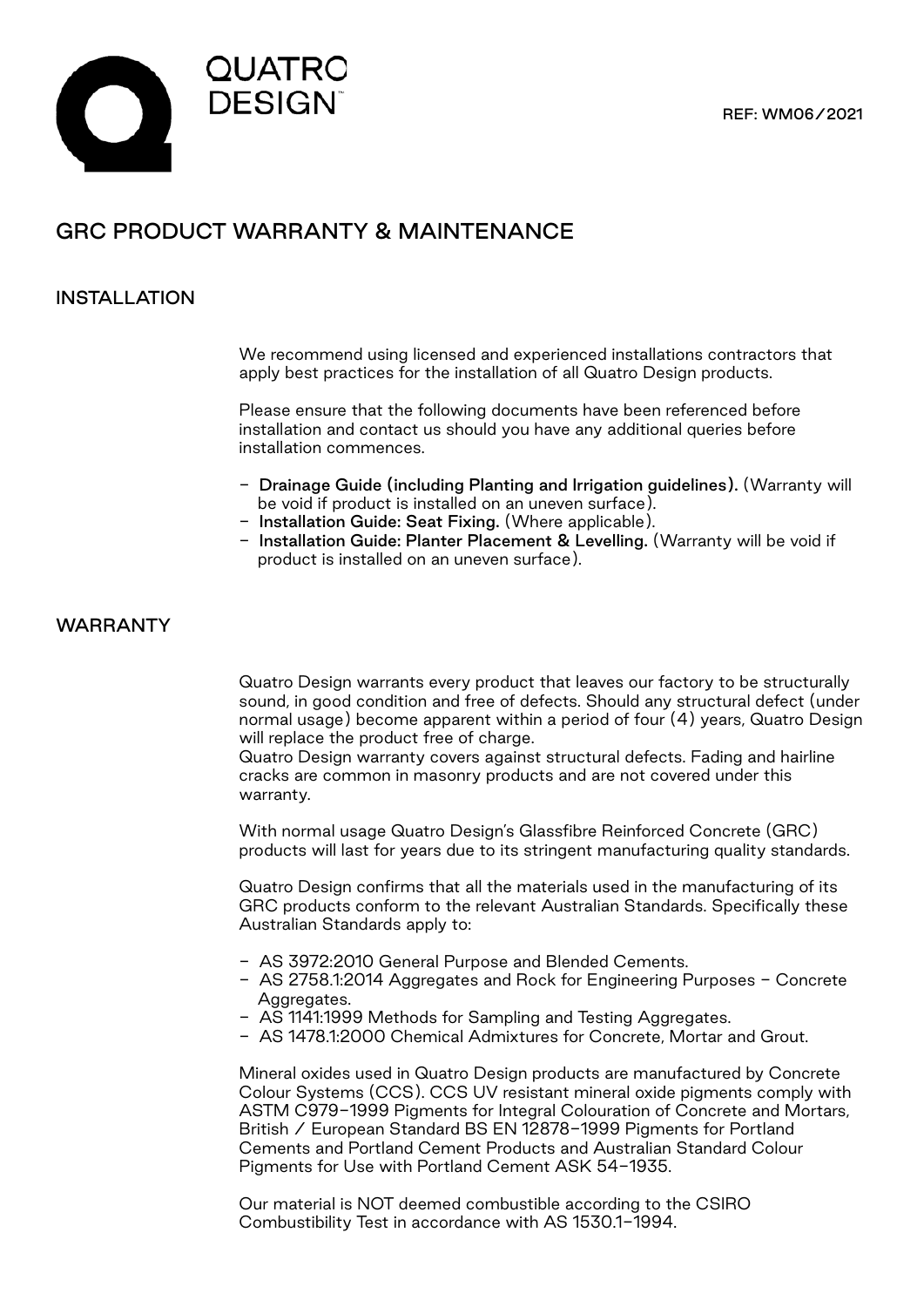

# GRC PRODUCT WARRANTY & MAINTENANCE

### INSTALLATION

We recommend using licensed and experienced installations contractors that apply best practices for the installation of all Quatro Design products.

Please ensure that the following documents have been referenced before installation and contact us should you have any additional queries before installation commences.

- Drainage Guide (including Planting and Irrigation guidelines). (Warranty will be void if product is installed on an uneven surface).
- Installation Guide: Seat Fixing. (Where applicable).
- Installation Guide: Planter Placement & Levelling. (Warranty will be void if product is installed on an uneven surface).

#### WARRANTY

Quatro Design warrants every product that leaves our factory to be structurally sound, in good condition and free of defects. Should any structural defect (under normal usage) become apparent within a period of four (4) years, Quatro Design will replace the product free of charge.

Quatro Design warranty covers against structural defects. Fading and hairline cracks are common in masonry products and are not covered under this warranty.

With normal usage Quatro Design's Glassfibre Reinforced Concrete (GRC) products will last for years due to its stringent manufacturing quality standards.

Quatro Design confirms that all the materials used in the manufacturing of its GRC products conform to the relevant Australian Standards. Specifically these Australian Standards apply to:

- AS 3972:2010 General Purpose and Blended Cements.
- AS 2758.1:2014 Aggregates and Rock for Engineering Purposes Concrete Aggregates.
- AS 1141:1999 Methods for Sampling and Testing Aggregates.
- AS 1478.1:2000 Chemical Admixtures for Concrete, Mortar and Grout.

Mineral oxides used in Quatro Design products are manufactured by Concrete Colour Systems (CCS). CCS UV resistant mineral oxide pigments comply with ASTM C979-1999 Pigments for Integral Colouration of Concrete and Mortars, British / European Standard BS EN 12878-1999 Pigments for Portland Cements and Portland Cement Products and Australian Standard Colour Pigments for Use with Portland Cement ASK 54-1935.

Our material is NOT deemed combustible according to the CSIRO Combustibility Test in accordance with AS 1530.1-1994.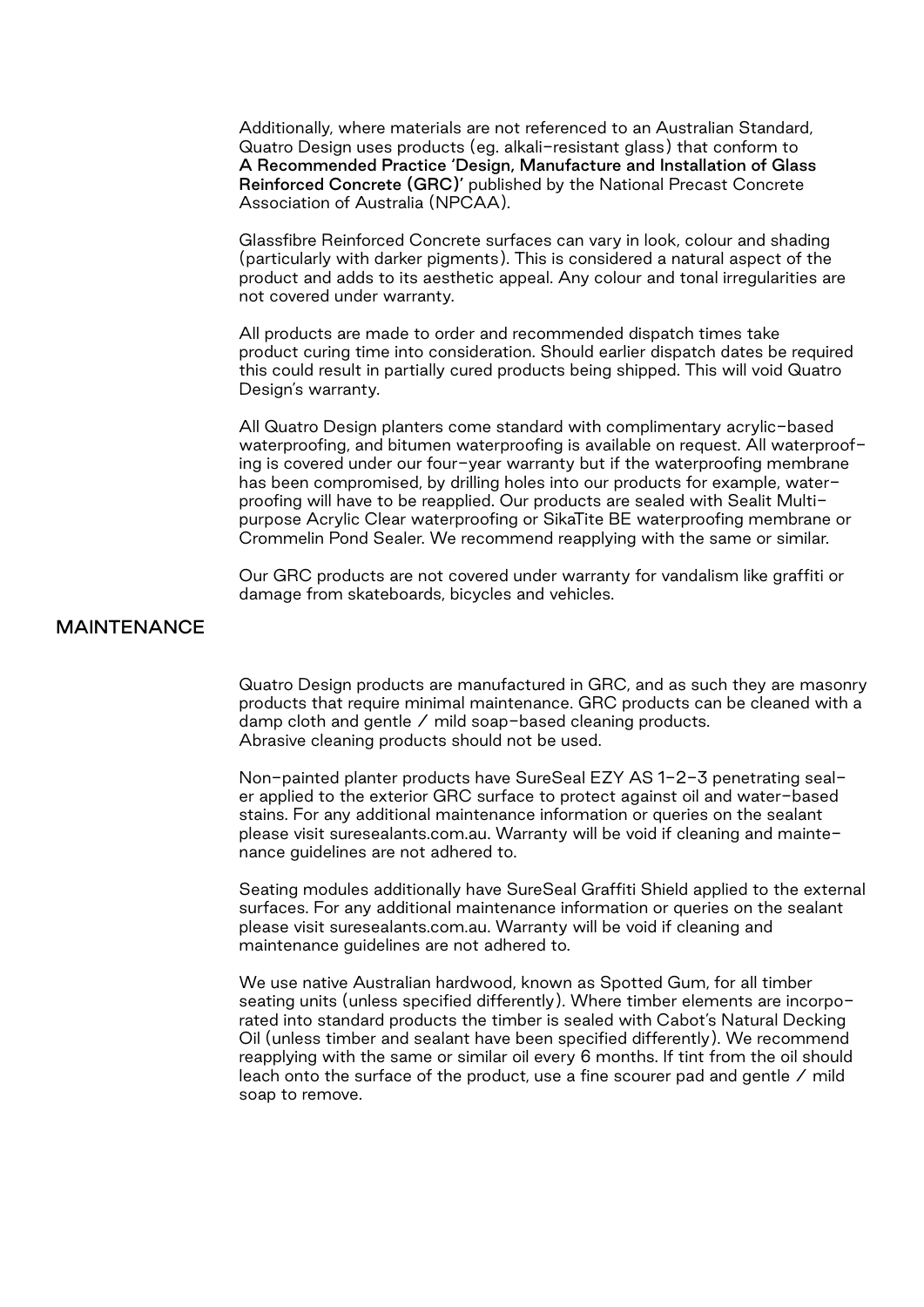Additionally, where materials are not referenced to an Australian Standard, Quatro Design uses products (eg. alkali-resistant glass) that conform to A Recommended Practice 'Design, Manufacture and Installation of Glass Reinforced Concrete (GRC)' published by the National Precast Concrete Association of Australia (NPCAA).

Glassfibre Reinforced Concrete surfaces can vary in look, colour and shading (particularly with darker pigments). This is considered a natural aspect of the product and adds to its aesthetic appeal. Any colour and tonal irregularities are not covered under warranty.

All products are made to order and recommended dispatch times take product curing time into consideration. Should earlier dispatch dates be required this could result in partially cured products being shipped. This will void Quatro Design's warranty.

All Quatro Design planters come standard with complimentary acrylic-based waterproofing, and bitumen waterproofing is available on request. All waterproofing is covered under our four-year warranty but if the waterproofing membrane has been compromised, by drilling holes into our products for example, waterproofing will have to be reapplied. Our products are sealed with Sealit Multipurpose Acrylic Clear waterproofing or SikaTite BE waterproofing membrane or Crommelin Pond Sealer. We recommend reapplying with the same or similar.

Our GRC products are not covered under warranty for vandalism like graffiti or damage from skateboards, bicycles and vehicles.

#### MAINTENANCE

Quatro Design products are manufactured in GRC, and as such they are masonry products that require minimal maintenance. GRC products can be cleaned with a damp cloth and gentle / mild soap-based cleaning products. Abrasive cleaning products should not be used.

Non-painted planter products have SureSeal EZY AS 1-2-3 penetrating sealer applied to the exterior GRC surface to protect against oil and water-based stains. For any additional maintenance information or queries on the sealant please visit suresealants.com.au. Warranty will be void if cleaning and maintenance guidelines are not adhered to.

Seating modules additionally have SureSeal Graffiti Shield applied to the external surfaces. For any additional maintenance information or queries on the sealant please visit suresealants.com.au. Warranty will be void if cleaning and maintenance guidelines are not adhered to.

We use native Australian hardwood, known as Spotted Gum, for all timber seating units (unless specified differently). Where timber elements are incorporated into standard products the timber is sealed with Cabot's Natural Decking Oil (unless timber and sealant have been specified differently). We recommend reapplying with the same or similar oil every 6 months. If tint from the oil should leach onto the surface of the product, use a fine scourer pad and gentle / mild soap to remove.